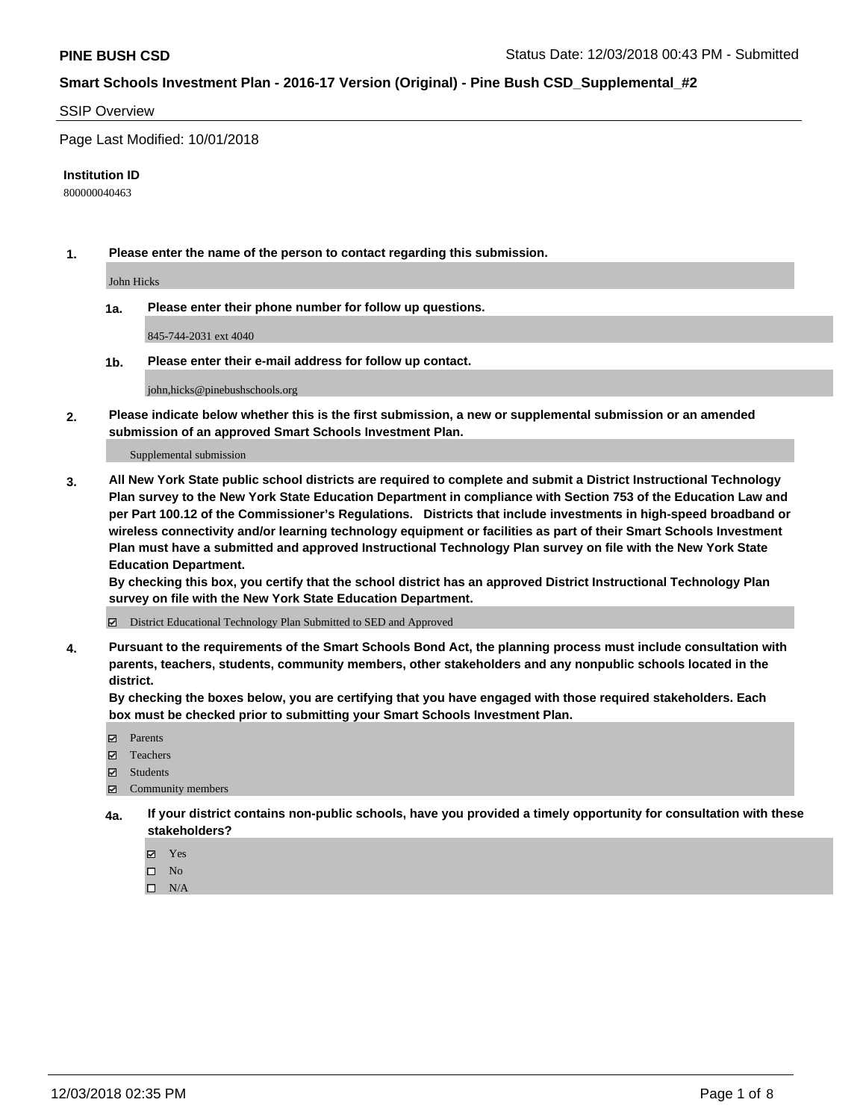#### SSIP Overview

Page Last Modified: 10/01/2018

#### **Institution ID**

800000040463

**1. Please enter the name of the person to contact regarding this submission.**

John Hicks

**1a. Please enter their phone number for follow up questions.**

845-744-2031 ext 4040

**1b. Please enter their e-mail address for follow up contact.**

john,hicks@pinebushschools.org

**2. Please indicate below whether this is the first submission, a new or supplemental submission or an amended submission of an approved Smart Schools Investment Plan.**

Supplemental submission

**3. All New York State public school districts are required to complete and submit a District Instructional Technology Plan survey to the New York State Education Department in compliance with Section 753 of the Education Law and per Part 100.12 of the Commissioner's Regulations. Districts that include investments in high-speed broadband or wireless connectivity and/or learning technology equipment or facilities as part of their Smart Schools Investment Plan must have a submitted and approved Instructional Technology Plan survey on file with the New York State Education Department.** 

**By checking this box, you certify that the school district has an approved District Instructional Technology Plan survey on file with the New York State Education Department.**

District Educational Technology Plan Submitted to SED and Approved

**4. Pursuant to the requirements of the Smart Schools Bond Act, the planning process must include consultation with parents, teachers, students, community members, other stakeholders and any nonpublic schools located in the district.** 

**By checking the boxes below, you are certifying that you have engaged with those required stakeholders. Each box must be checked prior to submitting your Smart Schools Investment Plan.**

- **□** Parents
- Teachers
- Students
- $\boxtimes$  Community members
- **4a. If your district contains non-public schools, have you provided a timely opportunity for consultation with these stakeholders?**
	- Yes
	- $\qquad \qquad$  No
	- $\square$  N/A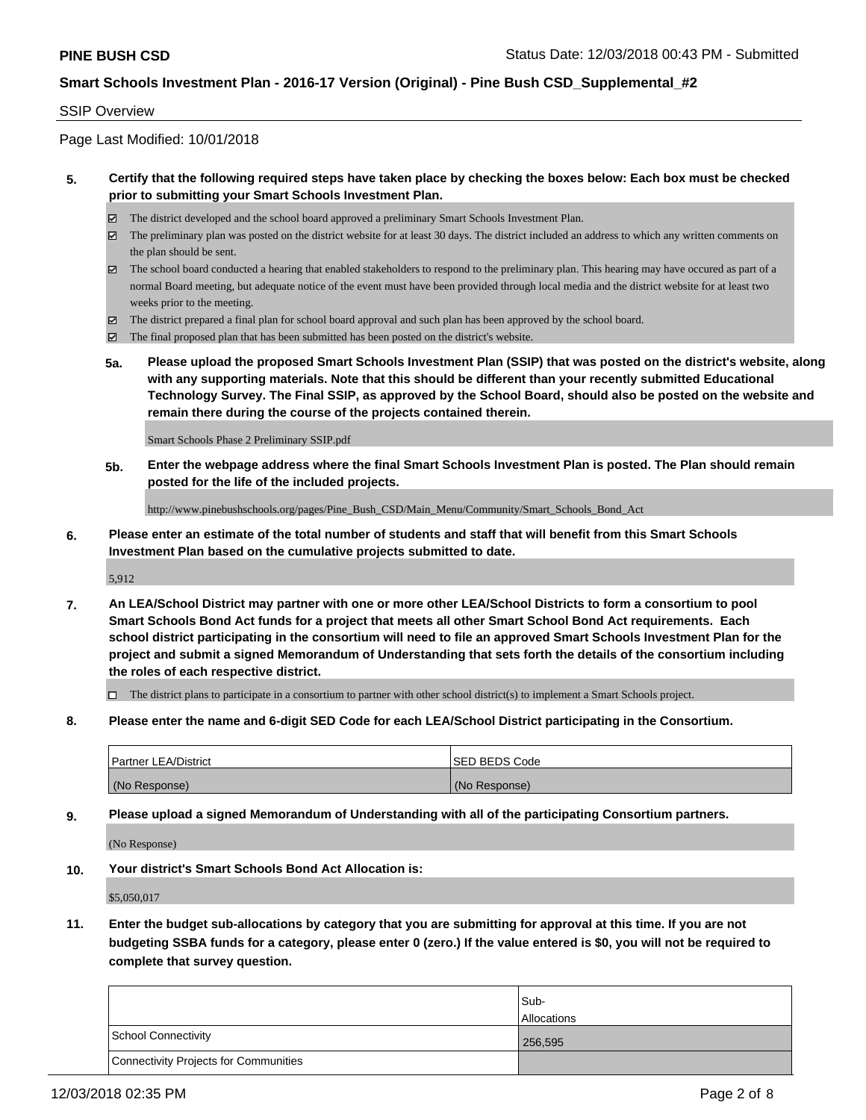#### SSIP Overview

Page Last Modified: 10/01/2018

### **5. Certify that the following required steps have taken place by checking the boxes below: Each box must be checked prior to submitting your Smart Schools Investment Plan.**

- The district developed and the school board approved a preliminary Smart Schools Investment Plan.
- $\boxtimes$  The preliminary plan was posted on the district website for at least 30 days. The district included an address to which any written comments on the plan should be sent.
- $\boxtimes$  The school board conducted a hearing that enabled stakeholders to respond to the preliminary plan. This hearing may have occured as part of a normal Board meeting, but adequate notice of the event must have been provided through local media and the district website for at least two weeks prior to the meeting.
- The district prepared a final plan for school board approval and such plan has been approved by the school board.
- $\boxtimes$  The final proposed plan that has been submitted has been posted on the district's website.
- **5a. Please upload the proposed Smart Schools Investment Plan (SSIP) that was posted on the district's website, along with any supporting materials. Note that this should be different than your recently submitted Educational Technology Survey. The Final SSIP, as approved by the School Board, should also be posted on the website and remain there during the course of the projects contained therein.**

Smart Schools Phase 2 Preliminary SSIP.pdf

**5b. Enter the webpage address where the final Smart Schools Investment Plan is posted. The Plan should remain posted for the life of the included projects.**

http://www.pinebushschools.org/pages/Pine\_Bush\_CSD/Main\_Menu/Community/Smart\_Schools\_Bond\_Act

**6. Please enter an estimate of the total number of students and staff that will benefit from this Smart Schools Investment Plan based on the cumulative projects submitted to date.**

5,912

**7. An LEA/School District may partner with one or more other LEA/School Districts to form a consortium to pool Smart Schools Bond Act funds for a project that meets all other Smart School Bond Act requirements. Each school district participating in the consortium will need to file an approved Smart Schools Investment Plan for the project and submit a signed Memorandum of Understanding that sets forth the details of the consortium including the roles of each respective district.**

 $\Box$  The district plans to participate in a consortium to partner with other school district(s) to implement a Smart Schools project.

**8. Please enter the name and 6-digit SED Code for each LEA/School District participating in the Consortium.**

| <b>Partner LEA/District</b> | <b>ISED BEDS Code</b> |
|-----------------------------|-----------------------|
| (No Response)               | (No Response)         |

**9. Please upload a signed Memorandum of Understanding with all of the participating Consortium partners.**

(No Response)

**10. Your district's Smart Schools Bond Act Allocation is:**

\$5,050,017

**11. Enter the budget sub-allocations by category that you are submitting for approval at this time. If you are not budgeting SSBA funds for a category, please enter 0 (zero.) If the value entered is \$0, you will not be required to complete that survey question.**

|                                              | Sub-               |
|----------------------------------------------|--------------------|
|                                              | <b>Allocations</b> |
| <b>School Connectivity</b>                   | 256,595            |
| <b>Connectivity Projects for Communities</b> |                    |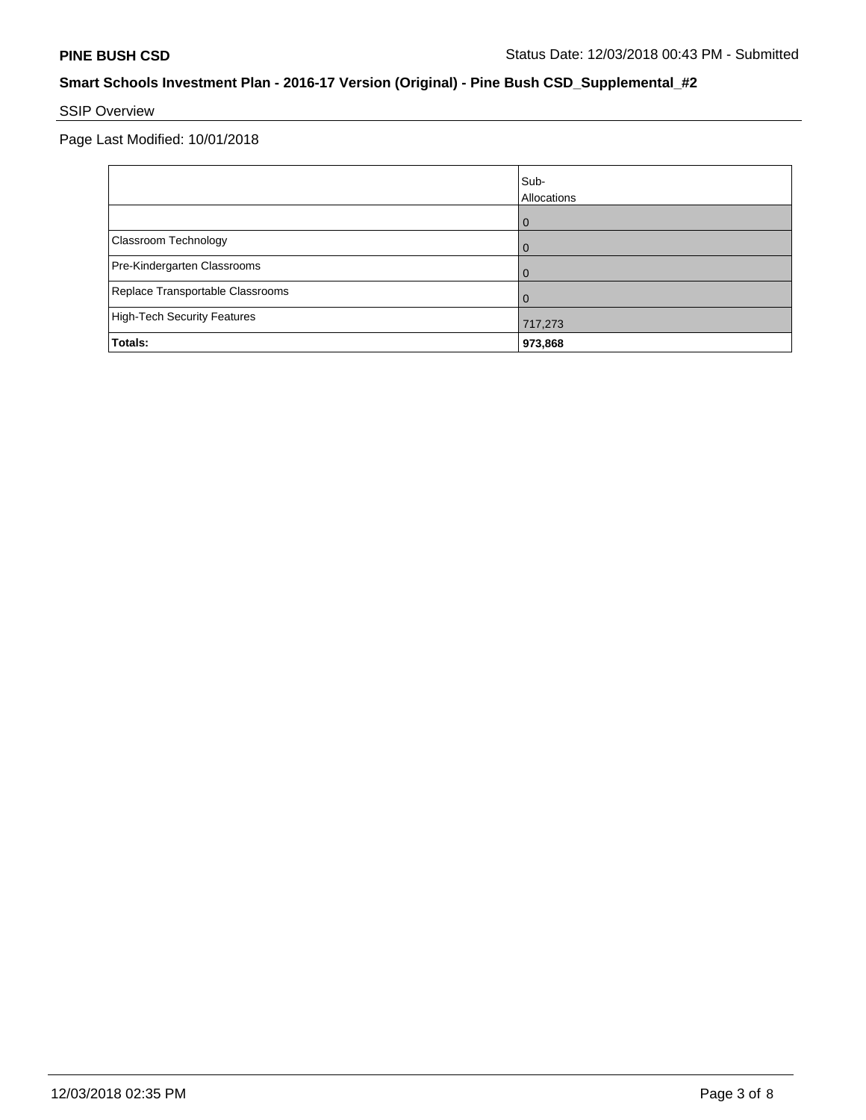# SSIP Overview

Page Last Modified: 10/01/2018

|                                    | Sub-<br>Allocations |
|------------------------------------|---------------------|
|                                    | ω                   |
| Classroom Technology               |                     |
| Pre-Kindergarten Classrooms        |                     |
| Replace Transportable Classrooms   |                     |
| <b>High-Tech Security Features</b> | 717,273             |
| Totals:                            | 973,868             |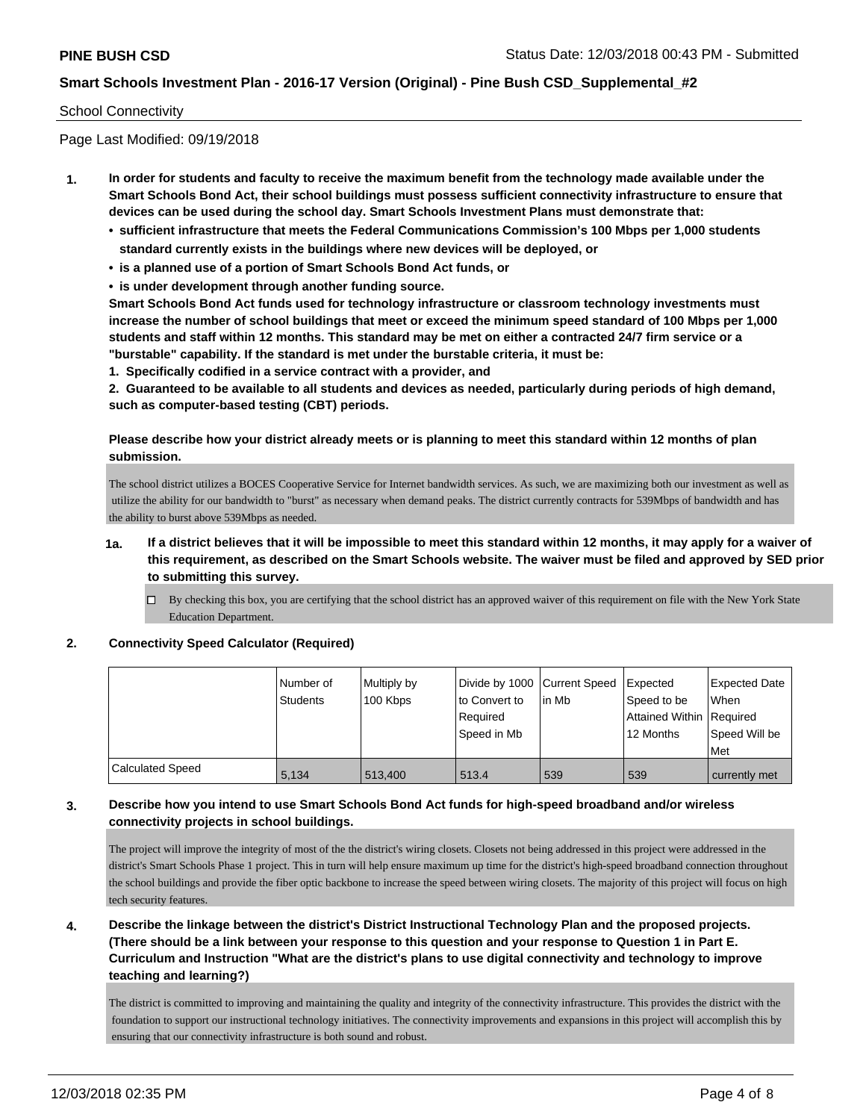### School Connectivity

Page Last Modified: 09/19/2018

- **1. In order for students and faculty to receive the maximum benefit from the technology made available under the Smart Schools Bond Act, their school buildings must possess sufficient connectivity infrastructure to ensure that devices can be used during the school day. Smart Schools Investment Plans must demonstrate that:**
	- **• sufficient infrastructure that meets the Federal Communications Commission's 100 Mbps per 1,000 students standard currently exists in the buildings where new devices will be deployed, or**
	- **• is a planned use of a portion of Smart Schools Bond Act funds, or**
	- **• is under development through another funding source.**

**Smart Schools Bond Act funds used for technology infrastructure or classroom technology investments must increase the number of school buildings that meet or exceed the minimum speed standard of 100 Mbps per 1,000 students and staff within 12 months. This standard may be met on either a contracted 24/7 firm service or a "burstable" capability. If the standard is met under the burstable criteria, it must be:**

**1. Specifically codified in a service contract with a provider, and**

**2. Guaranteed to be available to all students and devices as needed, particularly during periods of high demand, such as computer-based testing (CBT) periods.**

## **Please describe how your district already meets or is planning to meet this standard within 12 months of plan submission.**

The school district utilizes a BOCES Cooperative Service for Internet bandwidth services. As such, we are maximizing both our investment as well as utilize the ability for our bandwidth to "burst" as necessary when demand peaks. The district currently contracts for 539Mbps of bandwidth and has the ability to burst above 539Mbps as needed.

- **1a. If a district believes that it will be impossible to meet this standard within 12 months, it may apply for a waiver of this requirement, as described on the Smart Schools website. The waiver must be filed and approved by SED prior to submitting this survey.**
	- By checking this box, you are certifying that the school district has an approved waiver of this requirement on file with the New York State Education Department.

#### **2. Connectivity Speed Calculator (Required)**

|                         | l Number of<br><b>Students</b> | Multiply by<br>100 Kbps | Divide by 1000 Current Speed<br>to Convert to<br>Required<br>l Speed in Mb | lin Mb | Expected<br>Speed to be<br>Attained Within Required<br>12 Months | <b>Expected Date</b><br><b>When</b><br>Speed Will be<br>Met |
|-------------------------|--------------------------------|-------------------------|----------------------------------------------------------------------------|--------|------------------------------------------------------------------|-------------------------------------------------------------|
| <b>Calculated Speed</b> | 5.134                          | 513,400                 | 513.4                                                                      | 539    | 539                                                              | currently met                                               |

## **3. Describe how you intend to use Smart Schools Bond Act funds for high-speed broadband and/or wireless connectivity projects in school buildings.**

The project will improve the integrity of most of the the district's wiring closets. Closets not being addressed in this project were addressed in the district's Smart Schools Phase 1 project. This in turn will help ensure maximum up time for the district's high-speed broadband connection throughout the school buildings and provide the fiber optic backbone to increase the speed between wiring closets. The majority of this project will focus on high tech security features.

**4. Describe the linkage between the district's District Instructional Technology Plan and the proposed projects. (There should be a link between your response to this question and your response to Question 1 in Part E. Curriculum and Instruction "What are the district's plans to use digital connectivity and technology to improve teaching and learning?)**

The district is committed to improving and maintaining the quality and integrity of the connectivity infrastructure. This provides the district with the foundation to support our instructional technology initiatives. The connectivity improvements and expansions in this project will accomplish this by ensuring that our connectivity infrastructure is both sound and robust.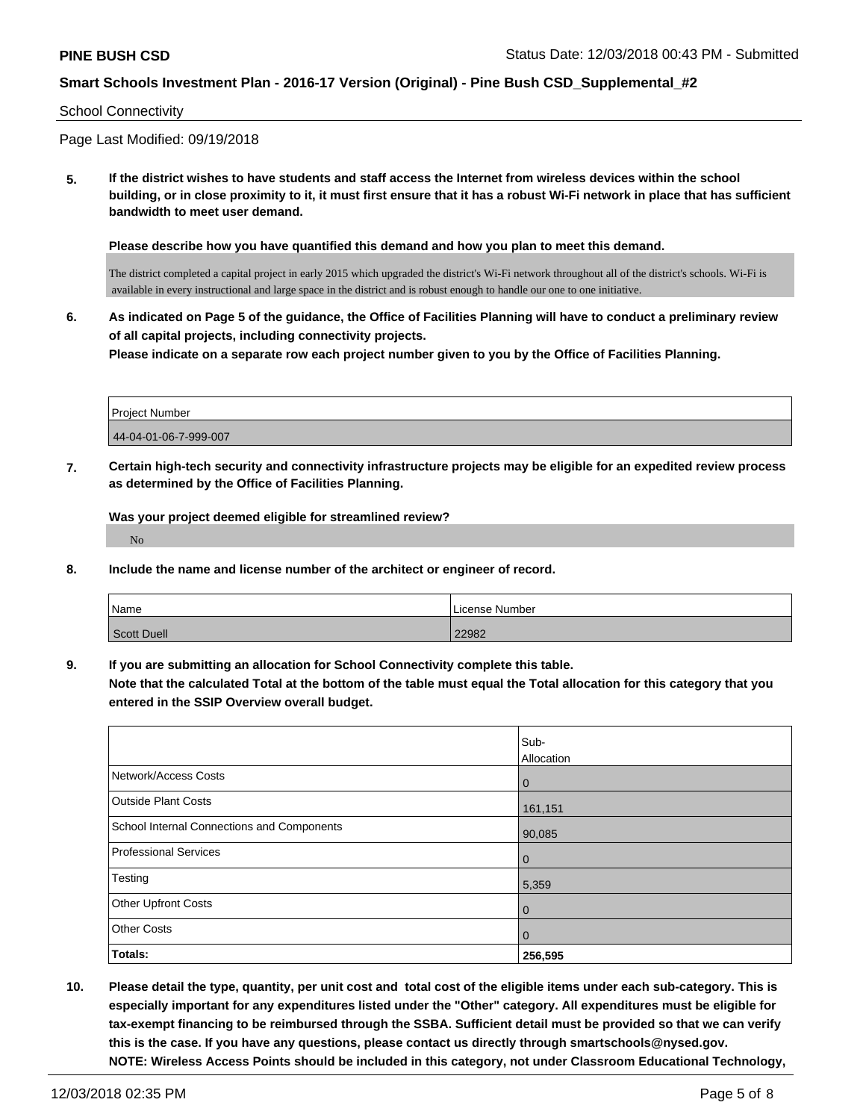#### School Connectivity

Page Last Modified: 09/19/2018

**5. If the district wishes to have students and staff access the Internet from wireless devices within the school building, or in close proximity to it, it must first ensure that it has a robust Wi-Fi network in place that has sufficient bandwidth to meet user demand.**

**Please describe how you have quantified this demand and how you plan to meet this demand.**

The district completed a capital project in early 2015 which upgraded the district's Wi-Fi network throughout all of the district's schools. Wi-Fi is available in every instructional and large space in the district and is robust enough to handle our one to one initiative.

**6. As indicated on Page 5 of the guidance, the Office of Facilities Planning will have to conduct a preliminary review of all capital projects, including connectivity projects. Please indicate on a separate row each project number given to you by the Office of Facilities Planning.**

| <b>Project Number</b> |  |
|-----------------------|--|
| 44-04-01-06-7-999-007 |  |

**7. Certain high-tech security and connectivity infrastructure projects may be eligible for an expedited review process as determined by the Office of Facilities Planning.**

**Was your project deemed eligible for streamlined review?** No

**8. Include the name and license number of the architect or engineer of record.**

| Name        | License Number |
|-------------|----------------|
| Scott Duell | 22982          |

**9. If you are submitting an allocation for School Connectivity complete this table. Note that the calculated Total at the bottom of the table must equal the Total allocation for this category that you**

**entered in the SSIP Overview overall budget.** 

|                                            | Sub-<br>Allocation |
|--------------------------------------------|--------------------|
| Network/Access Costs                       | 0                  |
| <b>Outside Plant Costs</b>                 | 161,151            |
| School Internal Connections and Components | 90,085             |
| <b>Professional Services</b>               | 0                  |
| Testing                                    | 5,359              |
| <b>Other Upfront Costs</b>                 | 0                  |
| <b>Other Costs</b>                         | 0                  |
| Totals:                                    | 256,595            |

**10. Please detail the type, quantity, per unit cost and total cost of the eligible items under each sub-category. This is especially important for any expenditures listed under the "Other" category. All expenditures must be eligible for tax-exempt financing to be reimbursed through the SSBA. Sufficient detail must be provided so that we can verify this is the case. If you have any questions, please contact us directly through smartschools@nysed.gov. NOTE: Wireless Access Points should be included in this category, not under Classroom Educational Technology,**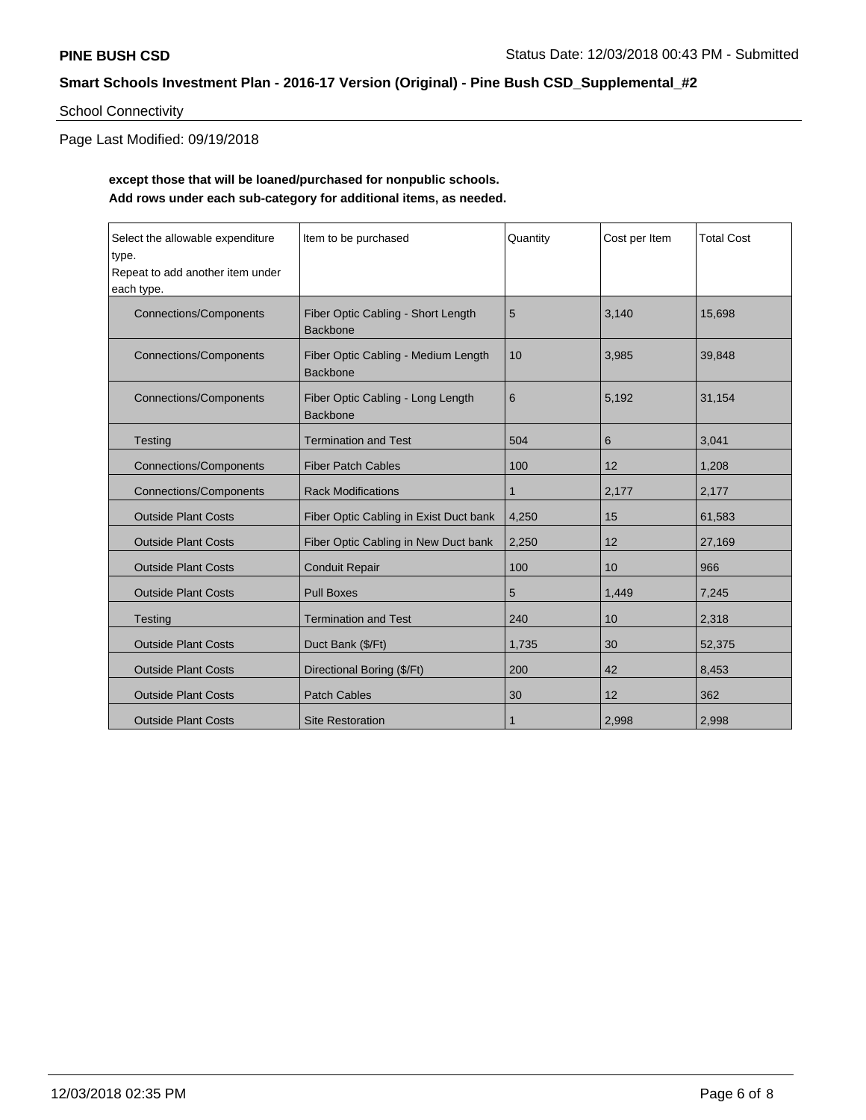# School Connectivity

Page Last Modified: 09/19/2018

# **except those that will be loaned/purchased for nonpublic schools. Add rows under each sub-category for additional items, as needed.**

| Select the allowable expenditure<br>type.<br>Repeat to add another item under<br>each type. | Item to be purchased                                   | Quantity | Cost per Item | <b>Total Cost</b> |
|---------------------------------------------------------------------------------------------|--------------------------------------------------------|----------|---------------|-------------------|
| <b>Connections/Components</b>                                                               | Fiber Optic Cabling - Short Length<br><b>Backbone</b>  | 5        | 3,140         | 15,698            |
| <b>Connections/Components</b>                                                               | Fiber Optic Cabling - Medium Length<br><b>Backbone</b> | 10       | 3,985         | 39,848            |
| <b>Connections/Components</b>                                                               | Fiber Optic Cabling - Long Length<br><b>Backbone</b>   | 6        | 5.192         | 31,154            |
| Testing                                                                                     | <b>Termination and Test</b>                            | 504      | 6             | 3,041             |
| <b>Connections/Components</b>                                                               | <b>Fiber Patch Cables</b>                              | 100      | 12            | 1,208             |
| <b>Connections/Components</b>                                                               | <b>Rack Modifications</b>                              | 1        | 2,177         | 2,177             |
| <b>Outside Plant Costs</b>                                                                  | Fiber Optic Cabling in Exist Duct bank                 | 4,250    | 15            | 61,583            |
| <b>Outside Plant Costs</b>                                                                  | Fiber Optic Cabling in New Duct bank                   | 2,250    | 12            | 27,169            |
| <b>Outside Plant Costs</b>                                                                  | <b>Conduit Repair</b>                                  | 100      | 10            | 966               |
| <b>Outside Plant Costs</b>                                                                  | <b>Pull Boxes</b>                                      | 5        | 1,449         | 7,245             |
| Testing                                                                                     | <b>Termination and Test</b>                            | 240      | 10            | 2,318             |
| <b>Outside Plant Costs</b>                                                                  | Duct Bank (\$/Ft)                                      | 1,735    | 30            | 52,375            |
| <b>Outside Plant Costs</b>                                                                  | Directional Boring (\$/Ft)                             | 200      | 42            | 8,453             |
| <b>Outside Plant Costs</b>                                                                  | <b>Patch Cables</b>                                    | 30       | 12            | 362               |
| <b>Outside Plant Costs</b>                                                                  | <b>Site Restoration</b>                                | 1        | 2,998         | 2,998             |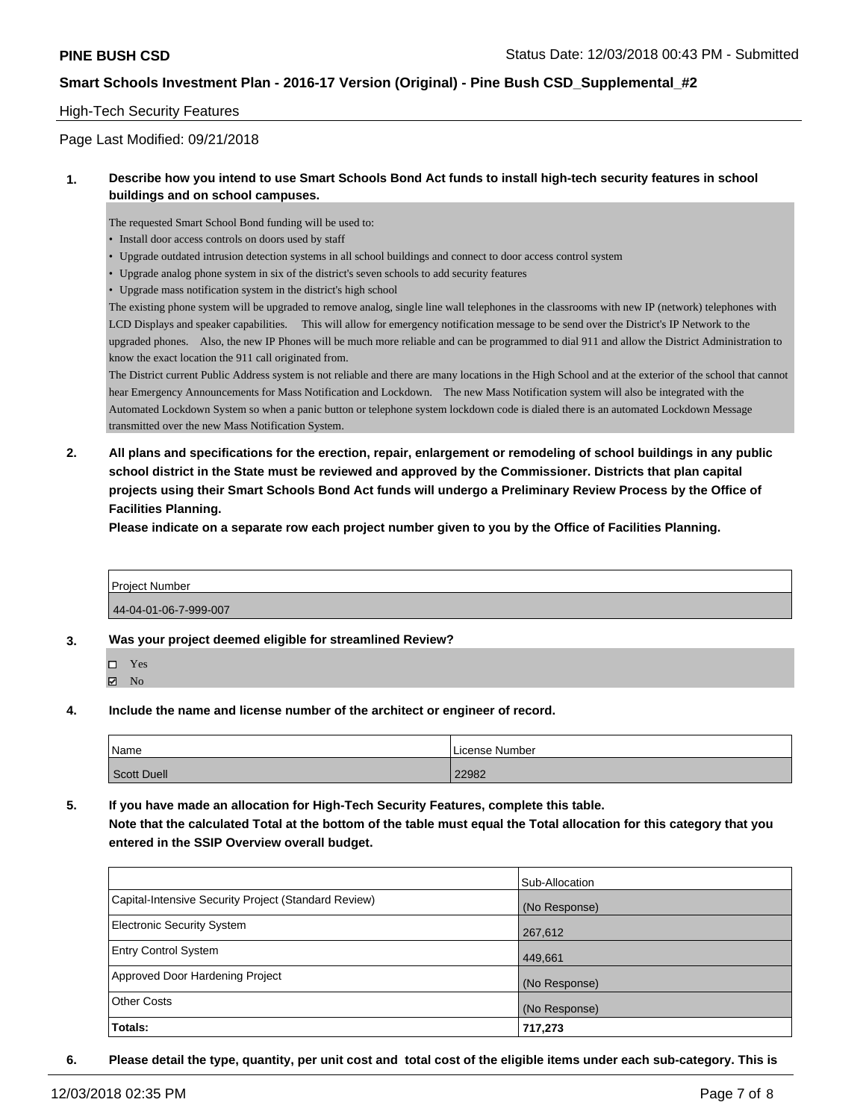#### High-Tech Security Features

Page Last Modified: 09/21/2018

#### **1. Describe how you intend to use Smart Schools Bond Act funds to install high-tech security features in school buildings and on school campuses.**

The requested Smart School Bond funding will be used to:

- Install door access controls on doors used by staff
- Upgrade outdated intrusion detection systems in all school buildings and connect to door access control system
- Upgrade analog phone system in six of the district's seven schools to add security features
- Upgrade mass notification system in the district's high school

The existing phone system will be upgraded to remove analog, single line wall telephones in the classrooms with new IP (network) telephones with LCD Displays and speaker capabilities. This will allow for emergency notification message to be send over the District's IP Network to the upgraded phones. Also, the new IP Phones will be much more reliable and can be programmed to dial 911 and allow the District Administration to know the exact location the 911 call originated from.

The District current Public Address system is not reliable and there are many locations in the High School and at the exterior of the school that cannot hear Emergency Announcements for Mass Notification and Lockdown. The new Mass Notification system will also be integrated with the Automated Lockdown System so when a panic button or telephone system lockdown code is dialed there is an automated Lockdown Message transmitted over the new Mass Notification System.

**2. All plans and specifications for the erection, repair, enlargement or remodeling of school buildings in any public school district in the State must be reviewed and approved by the Commissioner. Districts that plan capital projects using their Smart Schools Bond Act funds will undergo a Preliminary Review Process by the Office of Facilities Planning.** 

**Please indicate on a separate row each project number given to you by the Office of Facilities Planning.**

| Project Number        |  |
|-----------------------|--|
| 44-04-01-06-7-999-007 |  |

**3. Was your project deemed eligible for streamlined Review?**

Yes

**Z** No

**4. Include the name and license number of the architect or engineer of record.**

| Name        | l License Number |
|-------------|------------------|
| Scott Duell | 22982            |

**5. If you have made an allocation for High-Tech Security Features, complete this table. Note that the calculated Total at the bottom of the table must equal the Total allocation for this category that you entered in the SSIP Overview overall budget.**

|                                                      | Sub-Allocation |
|------------------------------------------------------|----------------|
| Capital-Intensive Security Project (Standard Review) | (No Response)  |
| <b>Electronic Security System</b>                    | 267,612        |
| <b>Entry Control System</b>                          | 449,661        |
| Approved Door Hardening Project                      | (No Response)  |
| <b>Other Costs</b>                                   | (No Response)  |
| Totals:                                              | 717,273        |

**6. Please detail the type, quantity, per unit cost and total cost of the eligible items under each sub-category. This is**